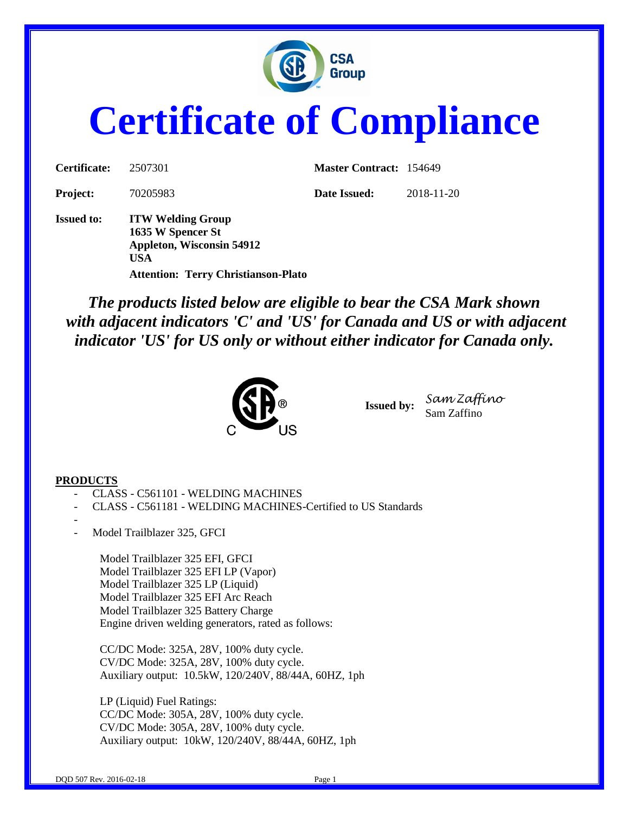

# **Certificate of Compliance**

| Certificate:      | 2507301                                                                                         | <b>Master Contract: 154649</b> |            |
|-------------------|-------------------------------------------------------------------------------------------------|--------------------------------|------------|
| <b>Project:</b>   | 70205983                                                                                        | Date Issued:                   | 2018-11-20 |
| <b>Issued to:</b> | <b>ITW Welding Group</b><br>1635 W Spencer St<br><b>Appleton, Wisconsin 54912</b><br><b>USA</b> |                                |            |
|                   | <b>Attention: Terry Christianson-Plato</b>                                                      |                                |            |

*The products listed below are eligible to bear the CSA Mark shown with adjacent indicators 'C' and 'US' for Canada and US or with adjacent indicator 'US' for US only or without either indicator for Canada only.*



**Issued by:** *Sam Zaffino* Sam Zaffino

#### **PRODUCTS**

- CLASS C561101 WELDING MACHINES
- CLASS C561181 WELDING MACHINES-Certified to US Standards
- Model Trailblazer 325, GFCI

Model Trailblazer 325 EFI, GFCI Model Trailblazer 325 EFI LP (Vapor) Model Trailblazer 325 LP (Liquid) Model Trailblazer 325 EFI Arc Reach Model Trailblazer 325 Battery Charge Engine driven welding generators, rated as follows:

CC/DC Mode: 325A, 28V, 100% duty cycle. CV/DC Mode: 325A, 28V, 100% duty cycle. Auxiliary output: 10.5kW, 120/240V, 88/44A, 60HZ, 1ph

LP (Liquid) Fuel Ratings: CC/DC Mode: 305A, 28V, 100% duty cycle. CV/DC Mode: 305A, 28V, 100% duty cycle. Auxiliary output: 10kW, 120/240V, 88/44A, 60HZ, 1ph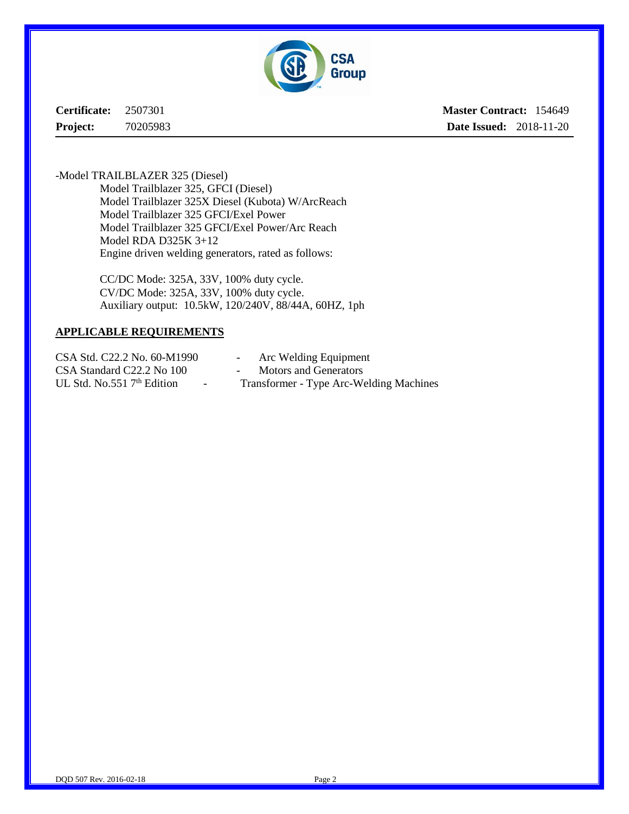

**Certificate:** 2507301 **Project:** 70205983

**Master Contract:** 154649 **Date Issued:** 2018-11-20

-Model TRAILBLAZER 325 (Diesel) Model Trailblazer 325, GFCI (Diesel) Model Trailblazer 325X Diesel (Kubota) W/ArcReach Model Trailblazer 325 GFCI/Exel Power Model Trailblazer 325 GFCI/Exel Power/Arc Reach Model RDA D325K 3+12 Engine driven welding generators, rated as follows:

> CC/DC Mode: 325A, 33V, 100% duty cycle. CV/DC Mode: 325A, 33V, 100% duty cycle. Auxiliary output: 10.5kW, 120/240V, 88/44A, 60HZ, 1ph

#### **APPLICABLE REQUIREMENTS**

CSA Std. C22.2 No. 60-M1990 - Arc Welding Equipment CSA Standard C22.2 No 100 - Motors and Generators

- 
- UL Std. No.551 7<sup>th</sup> Edition Transformer Type Arc-Welding Machines